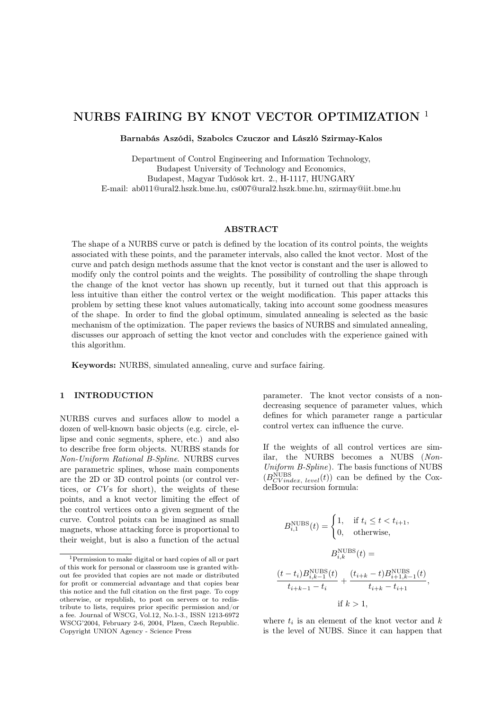# NURBS FAIRING BY KNOT VECTOR OPTIMIZATION <sup>1</sup>

Barnabás Aszódi, Szabolcs Czuczor and László Szirmay-Kalos

Department of Control Engineering and Information Technology, Budapest University of Technology and Economics, Budapest, Magyar Tudósok krt. 2., H-1117, HUNGARY E-mail: ab011@ural2.hszk.bme.hu, cs007@ural2.hszk.bme.hu, szirmay@iit.bme.hu

#### ABSTRACT

The shape of a NURBS curve or patch is defined by the location of its control points, the weights associated with these points, and the parameter intervals, also called the knot vector. Most of the curve and patch design methods assume that the knot vector is constant and the user is allowed to modify only the control points and the weights. The possibility of controlling the shape through the change of the knot vector has shown up recently, but it turned out that this approach is less intuitive than either the control vertex or the weight modification. This paper attacks this problem by setting these knot values automatically, taking into account some goodness measures of the shape. In order to find the global optimum, simulated annealing is selected as the basic mechanism of the optimization. The paper reviews the basics of NURBS and simulated annealing, discusses our approach of setting the knot vector and concludes with the experience gained with this algorithm.

Keywords: NURBS, simulated annealing, curve and surface fairing.

# 1 INTRODUCTION

NURBS curves and surfaces allow to model a dozen of well-known basic objects (e.g. circle, ellipse and conic segments, sphere, etc.) and also to describe free form objects. NURBS stands for *Non-Uniform Rational B-Spline*. NURBS curves are parametric splines, whose main components are the 2D or 3D control points (or control vertices, or *CV*s for short), the weights of these points, and a knot vector limiting the effect of the control vertices onto a given segment of the curve. Control points can be imagined as small magnets, whose attacking force is proportional to their weight, but is also a function of the actual parameter. The knot vector consists of a nondecreasing sequence of parameter values, which defines for which parameter range a particular control vertex can influence the curve.

If the weights of all control vertices are similar, the NURBS becomes a NUBS (*Non-Uniform B-Spline*). The basis functions of NUBS  $(B_{CVindex, level}^{\text{NUBS}}(t))$  can be defined by the CoxdeBoor recursion formula:

$$
B_{i,1}^{\text{NUBS}}(t) = \begin{cases} 1, & \text{if } t_i \le t < t_{i+1}, \\ 0, & \text{otherwise}, \end{cases}
$$
\n
$$
B_{i,k}^{\text{NUBS}}(t) =
$$
\n
$$
\frac{(t - t_i)B_{i,k-1}^{\text{NUBS}}(t)}{t_{i+k-1} - t_i} + \frac{(t_{i+k} - t)B_{i+1,k-1}^{\text{NUBS}}(t)}{t_{i+k} - t_{i+1}}
$$
\n
$$
\text{if } k > 1,
$$

,

where  $t_i$  is an element of the knot vector and  $k$ is the level of NUBS. Since it can happen that

<sup>1</sup>Permission to make digital or hard copies of all or part of this work for personal or classroom use is granted without fee provided that copies are not made or distributed for profit or commercial advantage and that copies bear this notice and the full citation on the first page. To copy otherwise, or republish, to post on servers or to redistribute to lists, requires prior specific permission and/or a fee. Journal of WSCG, Vol.12, No.1-3., ISSN 1213-6972 WSCG'2004, February 2-6, 2004, Plzen, Czech Republic. Copyright UNION Agency - Science Press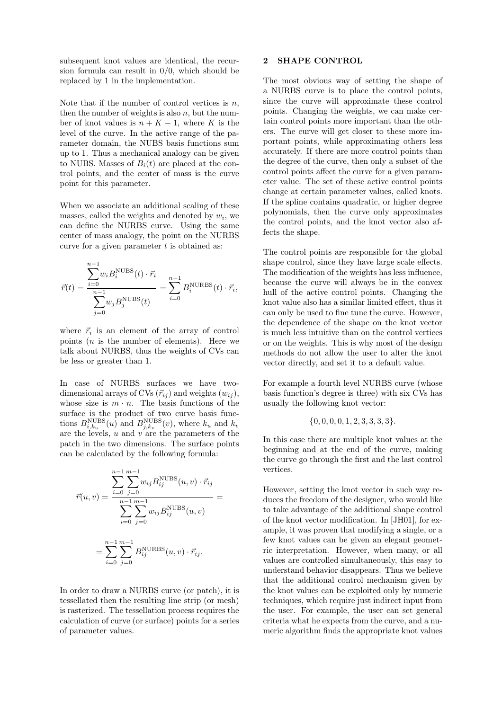subsequent knot values are identical, the recursion formula can result in 0/0, which should be replaced by 1 in the implementation.

Note that if the number of control vertices is  $n$ , then the number of weights is also  $n$ , but the number of knot values is  $n + K - 1$ , where K is the level of the curve. In the active range of the parameter domain, the NUBS basis functions sum up to 1. Thus a mechanical analogy can be given to NUBS. Masses of  $B_i(t)$  are placed at the control points, and the center of mass is the curve point for this parameter.

When we associate an additional scaling of these masses, called the weights and denoted by  $w_i$ , we can define the NURBS curve. Using the same center of mass analogy, the point on the NURBS curve for a given parameter  $t$  is obtained as:

$$
\vec{r}(t) = \frac{\sum_{i=0}^{n-1} w_i B_i^{\text{NUBS}}(t) \cdot \vec{r_i}}{\sum_{j=0}^{n-1} w_j B_j^{\text{NUBS}}(t)} = \sum_{i=0}^{n-1} B_i^{\text{NURBS}}(t) \cdot \vec{r_i},
$$

where  $\vec{r}_i$  is an element of the array of control points  $(n$  is the number of elements). Here we talk about NURBS, thus the weights of CVs can be less or greater than 1.

In case of NURBS surfaces we have twodimensional arrays of CVs  $(\vec{r}_{ij})$  and weights  $(w_{ij})$ , whose size is  $m \cdot n$ . The basis functions of the surface is the product of two curve basis functions  $B_{i,k_u}^{\text{NUBS}}(u)$  and  $B_{j,k_v}^{\text{NUBS}}(v)$ , where  $k_u$  and  $k_v$ are the levels,  $u$  and  $v$  are the parameters of the patch in the two dimensions. The surface points can be calculated by the following formula:

$$
\vec{r}(u,v) = \frac{\sum_{i=0}^{n-1} \sum_{j=0}^{m-1} w_{ij} B_{ij}^{\text{NUBS}}(u,v) \cdot \vec{r}_{ij}}{\sum_{i=0}^{n-1} \sum_{j=0}^{m-1} w_{ij} B_{ij}^{\text{NUBS}}(u,v)} = \sum_{i=0}^{n-1} \sum_{j=0}^{m-1} B_{ij}^{\text{NURBS}}(u,v) \cdot \vec{r}_{ij}.
$$

In order to draw a NURBS curve (or patch), it is tessellated then the resulting line strip (or mesh) is rasterized. The tessellation process requires the calculation of curve (or surface) points for a series of parameter values.

### 2 SHAPE CONTROL

The most obvious way of setting the shape of a NURBS curve is to place the control points, since the curve will approximate these control points. Changing the weights, we can make certain control points more important than the others. The curve will get closer to these more important points, while approximating others less accurately. If there are more control points than the degree of the curve, then only a subset of the control points affect the curve for a given parameter value. The set of these active control points change at certain parameter values, called knots. If the spline contains quadratic, or higher degree polynomials, then the curve only approximates the control points, and the knot vector also affects the shape.

The control points are responsible for the global shape control, since they have large scale effects. The modification of the weights has less influence, because the curve will always be in the convex hull of the active control points. Changing the knot value also has a similar limited effect, thus it can only be used to fine tune the curve. However, the dependence of the shape on the knot vector is much less intuitive than on the control vertices or on the weights. This is why most of the design methods do not allow the user to alter the knot vector directly, and set it to a default value.

For example a fourth level NURBS curve (whose basis function's degree is three) with six CVs has usually the following knot vector:

$$
\{0,0,0,0,1,2,3,3,3,3\}.
$$

In this case there are multiple knot values at the beginning and at the end of the curve, making the curve go through the first and the last control vertices.

However, setting the knot vector in such way reduces the freedom of the designer, who would like to take advantage of the additional shape control of the knot vector modification. In [JH01], for example, it was proven that modifying a single, or a few knot values can be given an elegant geometric interpretation. However, when many, or all values are controlled simultaneously, this easy to understand behavior disappears. Thus we believe that the additional control mechanism given by the knot values can be exploited only by numeric techniques, which require just indirect input from the user. For example, the user can set general criteria what he expects from the curve, and a numeric algorithm finds the appropriate knot values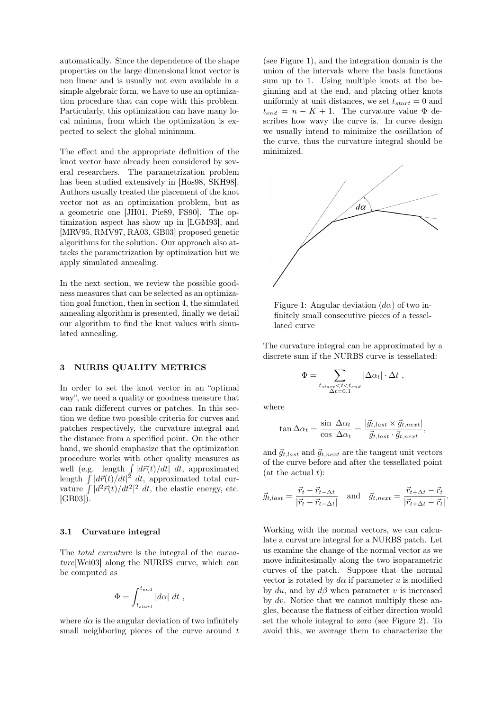automatically. Since the dependence of the shape properties on the large dimensional knot vector is non linear and is usually not even available in a simple algebraic form, we have to use an optimization procedure that can cope with this problem. Particularly, this optimization can have many local minima, from which the optimization is expected to select the global minimum.

The effect and the appropriate definition of the knot vector have already been considered by several researchers. The parametrization problem has been studied extensively in [Hos98, SKH98]. Authors usually treated the placement of the knot vector not as an optimization problem, but as a geometric one [JH01, Pie89, FS90]. The optimization aspect has show up in [LGM93], and [MRV95, RMV97, RA03, GB03] proposed genetic algorithms for the solution. Our approach also attacks the parametrization by optimization but we apply simulated annealing.

In the next section, we review the possible goodness measures that can be selected as an optimization goal function, then in section 4, the simulated annealing algorithm is presented, finally we detail our algorithm to find the knot values with simulated annealing.

### 3 NURBS QUALITY METRICS

In order to set the knot vector in an "optimal way", we need a quality or goodness measure that can rank different curves or patches. In this section we define two possible criteria for curves and patches respectively, the curvature integral and the distance from a specified point. On the other hand, we should emphasize that the optimization procedure works with other quality measures as well (e.g. length  $\int |d\vec{r}(t)/dt| dt$ , approximated length  $\int |d\vec{r}(t)/dt|^2 dt$ , approximated total curvature  $\int |d^2 \vec{r}(t)/dt^2|^2 dt$ , the elastic energy, etc. [GB03]).

#### 3.1 Curvature integral

The *total curvature* is the integral of the *curvature*[Wei03] along the NURBS curve, which can be computed as

$$
\Phi = \int_{t_{start}}^{t_{end}} |d\alpha| \ dt \ ,
$$

where  $d\alpha$  is the angular deviation of two infinitely small neighboring pieces of the curve around  $t$  (see Figure 1), and the integration domain is the union of the intervals where the basis functions sum up to 1. Using multiple knots at the beginning and at the end, and placing other knots uniformly at unit distances, we set  $t_{start} = 0$  and  $t_{end} = n - K + 1$ . The curvature value  $\Phi$  describes how wavy the curve is. In curve design we usually intend to minimize the oscillation of the curve, thus the curvature integral should be minimized.



Figure 1: Angular deviation  $(d\alpha)$  of two infinitely small consecutive pieces of a tessellated curve

The curvature integral can be approximated by a discrete sum if the NURBS curve is tessellated:

$$
\Phi = \sum_{\substack{t_{start} < t < t_{end} \\ \Delta t = 0.1}} |\Delta \alpha_t| \cdot \Delta t \;,
$$

where

$$
\tan \Delta \alpha_t = \frac{\sin \Delta \alpha_t}{\cos \Delta \alpha_t} = \frac{|\vec{g}_{t, last} \times \vec{g}_{t, next}|}{\vec{g}_{t, last} \cdot \vec{g}_{t, next}}
$$

,

and  $\vec{g}_{t,last}$  and  $\vec{g}_{t,next}$  are the tangent unit vectors of the curve before and after the tessellated point  $(\text{at the actual } t)$ :

$$
\vec{g}_{t, last} = \frac{\vec{r}_t - \vec{r}_{t-\Delta t}}{|\vec{r}_t - \vec{r}_{t-\Delta t}|} \quad \text{and} \quad \vec{g}_{t, next} = \frac{\vec{r}_{t+\Delta t} - \vec{r}_t}{|\vec{r}_{t+\Delta t} - \vec{r}_t|}.
$$

Working with the normal vectors, we can calculate a curvature integral for a NURBS patch. Let us examine the change of the normal vector as we move infinitesimally along the two isoparametric curves of the patch. Suppose that the normal vector is rotated by  $d\alpha$  if parameter u is modified by du, and by  $d\beta$  when parameter v is increased by dv. Notice that we cannot multiply these angles, because the flatness of either direction would set the whole integral to zero (see Figure 2). To avoid this, we average them to characterize the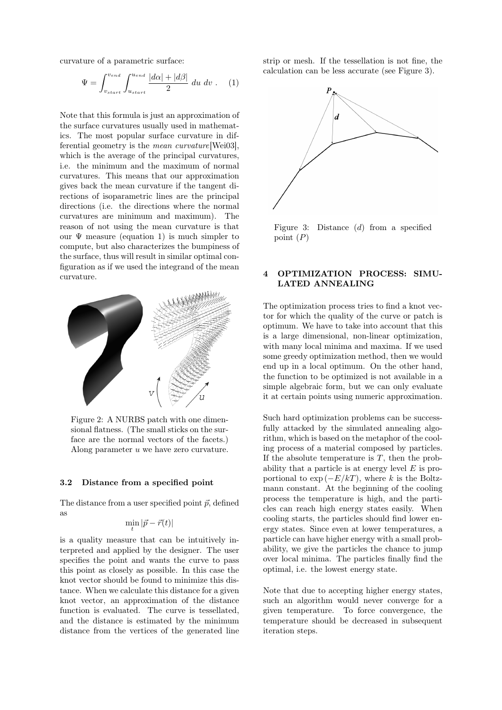curvature of a parametric surface:

$$
\Psi = \int_{v_{start}}^{v_{end}} \int_{u_{start}}^{u_{end}} \frac{|d\alpha| + |d\beta|}{2} du dv . \quad (1)
$$

Note that this formula is just an approximation of the surface curvatures usually used in mathematics. The most popular surface curvature in differential geometry is the *mean curvature*[Wei03], which is the average of the principal curvatures, i.e. the minimum and the maximum of normal curvatures. This means that our approximation gives back the mean curvature if the tangent directions of isoparametric lines are the principal directions (i.e. the directions where the normal curvatures are minimum and maximum). The reason of not using the mean curvature is that our  $\Psi$  measure (equation 1) is much simpler to compute, but also characterizes the bumpiness of the surface, thus will result in similar optimal configuration as if we used the integrand of the mean curvature.



Figure 2: A NURBS patch with one dimensional flatness. (The small sticks on the surface are the normal vectors of the facets.) Along parameter u we have zero curvature.

#### 3.2 Distance from a specified point

The distance from a user specified point  $\vec{p}$ , defined as

$$
\min_t |\vec{p} - \vec{r}(t)|
$$

is a quality measure that can be intuitively interpreted and applied by the designer. The user specifies the point and wants the curve to pass this point as closely as possible. In this case the knot vector should be found to minimize this distance. When we calculate this distance for a given knot vector, an approximation of the distance function is evaluated. The curve is tessellated, and the distance is estimated by the minimum distance from the vertices of the generated line

strip or mesh. If the tessellation is not fine, the calculation can be less accurate (see Figure 3).



Figure 3: Distance (d) from a specified point  $(P)$ 

# 4 OPTIMIZATION PROCESS: SIMU-LATED ANNEALING

The optimization process tries to find a knot vector for which the quality of the curve or patch is optimum. We have to take into account that this is a large dimensional, non-linear optimization, with many local minima and maxima. If we used some greedy optimization method, then we would end up in a local optimum. On the other hand, the function to be optimized is not available in a simple algebraic form, but we can only evaluate it at certain points using numeric approximation.

Such hard optimization problems can be successfully attacked by the simulated annealing algorithm, which is based on the metaphor of the cooling process of a material composed by particles. If the absolute temperature is  $T$ , then the probability that a particle is at energy level  $E$  is proportional to  $\exp(-E/kT)$ , where k is the Boltzmann constant. At the beginning of the cooling process the temperature is high, and the particles can reach high energy states easily. When cooling starts, the particles should find lower energy states. Since even at lower temperatures, a particle can have higher energy with a small probability, we give the particles the chance to jump over local minima. The particles finally find the optimal, i.e. the lowest energy state.

Note that due to accepting higher energy states, such an algorithm would never converge for a given temperature. To force convergence, the temperature should be decreased in subsequent iteration steps.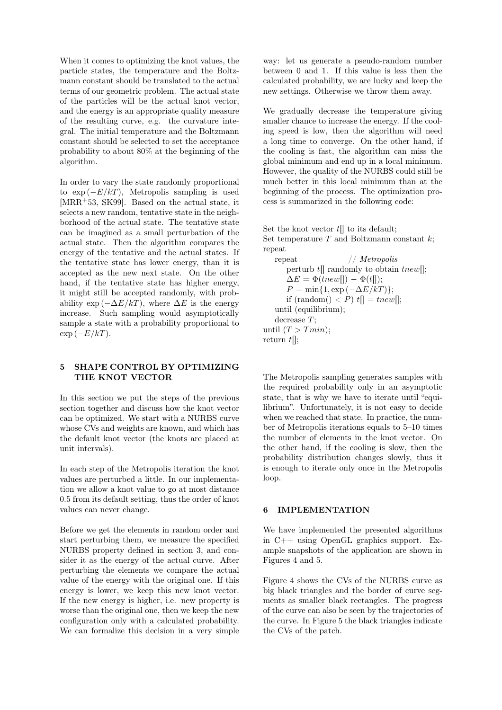When it comes to optimizing the knot values, the particle states, the temperature and the Boltzmann constant should be translated to the actual terms of our geometric problem. The actual state of the particles will be the actual knot vector, and the energy is an appropriate quality measure of the resulting curve, e.g. the curvature integral. The initial temperature and the Boltzmann constant should be selected to set the acceptance probability to about 80% at the beginning of the algorithm.

In order to vary the state randomly proportional to  $\exp(-E/kT)$ , Metropolis sampling is used [MRR+53, SK99]. Based on the actual state, it selects a new random, tentative state in the neighborhood of the actual state. The tentative state can be imagined as a small perturbation of the actual state. Then the algorithm compares the energy of the tentative and the actual states. If the tentative state has lower energy, than it is accepted as the new next state. On the other hand, if the tentative state has higher energy, it might still be accepted randomly, with probability  $\exp(-\Delta E/kT)$ , where  $\Delta E$  is the energy increase. Such sampling would asymptotically sample a state with a probability proportional to  $\exp(-E/kT)$ .

# 5 SHAPE CONTROL BY OPTIMIZING THE KNOT VECTOR

In this section we put the steps of the previous section together and discuss how the knot vector can be optimized. We start with a NURBS curve whose CVs and weights are known, and which has the default knot vector (the knots are placed at unit intervals).

In each step of the Metropolis iteration the knot values are perturbed a little. In our implementation we allow a knot value to go at most distance 0.5 from its default setting, thus the order of knot values can never change.

Before we get the elements in random order and start perturbing them, we measure the specified NURBS property defined in section 3, and consider it as the energy of the actual curve. After perturbing the elements we compare the actual value of the energy with the original one. If this energy is lower, we keep this new knot vector. If the new energy is higher, i.e. new property is worse than the original one, then we keep the new configuration only with a calculated probability. We can formalize this decision in a very simple way: let us generate a pseudo-random number between 0 and 1. If this value is less then the calculated probability, we are lucky and keep the new settings. Otherwise we throw them away.

We gradually decrease the temperature giving smaller chance to increase the energy. If the cooling speed is low, then the algorithm will need a long time to converge. On the other hand, if the cooling is fast, the algorithm can miss the global minimum and end up in a local minimum. However, the quality of the NURBS could still be much better in this local minimum than at the beginning of the process. The optimization process is summarized in the following code:

Set the knot vector  $t$ [] to its default; Set temperature  $T$  and Boltzmann constant  $k$ : repeat

repeat // *Metropolis* perturb  $t$ [] randomly to obtain  $\text{true}$ [];  $\Delta E = \Phi(tnew||) - \Phi(t||);$  $P = \min\{1, \exp(-\Delta E/kT)\};$ if  $(\text{random}() < P) t[] = \text{tnew}$ ; until (equilibrium); decrease T; until  $(T > Tmin)$ ; return  $t$ ];

The Metropolis sampling generates samples with the required probability only in an asymptotic state, that is why we have to iterate until "equilibrium". Unfortunately, it is not easy to decide when we reached that state. In practice, the number of Metropolis iterations equals to 5–10 times the number of elements in the knot vector. On the other hand, if the cooling is slow, then the probability distribution changes slowly, thus it is enough to iterate only once in the Metropolis loop.

# 6 IMPLEMENTATION

We have implemented the presented algorithms in C++ using OpenGL graphics support. Example snapshots of the application are shown in Figures 4 and 5.

Figure 4 shows the CVs of the NURBS curve as big black triangles and the border of curve segments as smaller black rectangles. The progress of the curve can also be seen by the trajectories of the curve. In Figure 5 the black triangles indicate the CVs of the patch.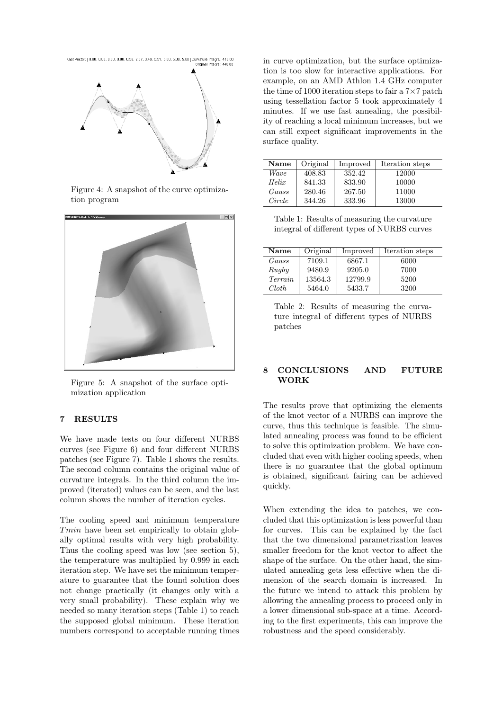

Figure 4: A snapshot of the curve optimization program



Figure 5: A snapshot of the surface optimization application

# 7 RESULTS

We have made tests on four different NURBS curves (see Figure 6) and four different NURBS patches (see Figure 7). Table 1 shows the results. The second column contains the original value of curvature integrals. In the third column the improved (iterated) values can be seen, and the last column shows the number of iteration cycles.

The cooling speed and minimum temperature Tmin have been set empirically to obtain globally optimal results with very high probability. Thus the cooling speed was low (see section 5), the temperature was multiplied by 0.999 in each iteration step. We have set the minimum temperature to guarantee that the found solution does not change practically (it changes only with a very small probability). These explain why we needed so many iteration steps (Table 1) to reach the supposed global minimum. These iteration numbers correspond to acceptable running times in curve optimization, but the surface optimization is too slow for interactive applications. For example, on an AMD Athlon 1.4 GHz computer the time of 1000 iteration steps to fair a  $7\times7$  patch using tessellation factor 5 took approximately 4 minutes. If we use fast annealing, the possibility of reaching a local minimum increases, but we can still expect significant improvements in the surface quality.

| Name   | Original | Improved | Iteration steps |
|--------|----------|----------|-----------------|
| Wave   | 408.83   | 352.42   | 12000           |
| Helix  | 841.33   | 833.90   | 10000           |
| Gauss  | 280.46   | 267.50   | 11000           |
| Circle | 344.26   | 333.96   | 13000           |

Table 1: Results of measuring the curvature integral of different types of NURBS curves

| Name           | Original | Improved | Iteration steps |
|----------------|----------|----------|-----------------|
| Gauss          | 7109.1   | 6867.1   | 6000            |
| Rugby          | 9480.9   | 9205.0   | 7000            |
| <i>Terrain</i> | 13564.3  | 12799.9  | 5200            |
| Cloth.         | 5464.0   | 5433.7   | 3200            |

Table 2: Results of measuring the curvature integral of different types of NURBS patches

#### 8 CONCLUSIONS AND FUTURE WORK

The results prove that optimizing the elements of the knot vector of a NURBS can improve the curve, thus this technique is feasible. The simulated annealing process was found to be efficient to solve this optimization problem. We have concluded that even with higher cooling speeds, when there is no guarantee that the global optimum is obtained, significant fairing can be achieved quickly.

When extending the idea to patches, we concluded that this optimization is less powerful than for curves. This can be explained by the fact that the two dimensional parametrization leaves smaller freedom for the knot vector to affect the shape of the surface. On the other hand, the simulated annealing gets less effective when the dimension of the search domain is increased. In the future we intend to attack this problem by allowing the annealing process to proceed only in a lower dimensional sub-space at a time. According to the first experiments, this can improve the robustness and the speed considerably.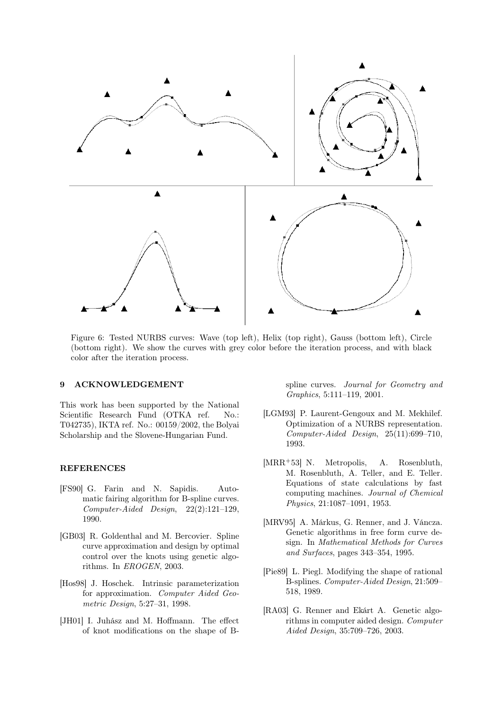

Figure 6: Tested NURBS curves: Wave (top left), Helix (top right), Gauss (bottom left), Circle (bottom right). We show the curves with grey color before the iteration process, and with black color after the iteration process.

### 9 ACKNOWLEDGEMENT

This work has been supported by the National Scientific Research Fund (OTKA ref. No.: T042735), IKTA ref. No.: 00159/2002, the Bolyai Scholarship and the Slovene-Hungarian Fund.

#### REFERENCES

- [FS90] G. Farin and N. Sapidis. Automatic fairing algorithm for B-spline curves. *Computer-Aided Design*, 22(2):121–129, 1990.
- [GB03] R. Goldenthal and M. Bercovier. Spline curve approximation and design by optimal control over the knots using genetic algorithms. In *EROGEN*, 2003.
- [Hos98] J. Hoschek. Intrinsic parameterization for approximation. *Computer Aided Geometric Design*, 5:27–31, 1998.
- [JH01] I. Juhász and M. Hoffmann. The effect of knot modifications on the shape of B-

spline curves. *Journal for Geometry and Graphics*, 5:111–119, 2001.

- [LGM93] P. Laurent-Gengoux and M. Mekhilef. Optimization of a NURBS representation. *Computer-Aided Design*, 25(11):699–710, 1993.
- [MRR<sup>+</sup>53] N. Metropolis, A. Rosenbluth, M. Rosenbluth, A. Teller, and E. Teller. Equations of state calculations by fast computing machines. *Journal of Chemical Physics*, 21:1087–1091, 1953.
- [MRV95] A. Márkus, G. Renner, and J. Váncza. Genetic algorithms in free form curve design. In *Mathematical Methods for Curves and Surfaces*, pages 343–354, 1995.
- [Pie89] L. Piegl. Modifying the shape of rational B-splines. *Computer-Aided Design*, 21:509– 518, 1989.
- [RA03] G. Renner and Ekárt A. Genetic algorithms in computer aided design. *Computer Aided Design*, 35:709–726, 2003.